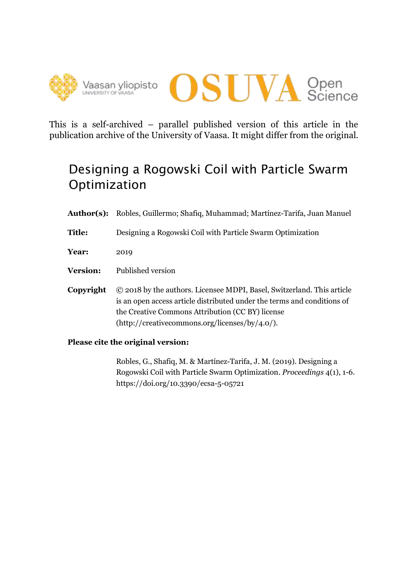



This is a self-archived – parallel published version of this article in the publication archive of the University of Vaasa. It might differ from the original.

# Designing a Rogowski Coil with Particle Swarm Optimization

**Author(s):** Robles, Guillermo; Shafiq, Muhammad; Martínez-Tarifa, Juan Manuel

- **Title:** Designing a Rogowski Coil with Particle Swarm Optimization
- **Year:** 2019
- **Version:** Published version
- **Copyright** © 2018 by the authors. Licensee MDPI, Basel, Switzerland. This article is an open access article distributed under the terms and conditions of the Creative Commons Attribution (CC BY) license (http://creativecommons.org/licenses/by/4.0/).
- **Please cite the original version:**

Robles, G., Shafiq, M. & Martínez-Tarifa, J. M. (2019). Designing a Rogowski Coil with Particle Swarm Optimization. *Proceedings* 4(1), 1-6. https://doi.org/10.3390/ecsa-5-05721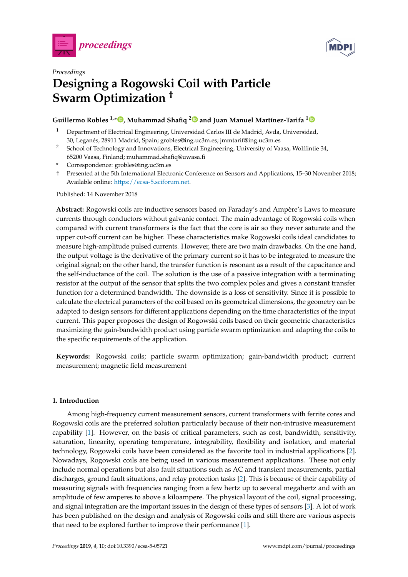



# *Proceedings* **Designing a Rogowski Coil with Particle Swarm Optimization †**

## **Guillermo Robles 1,[\\*](https://orcid.org/0000-0002-2688-9202) , Muhammad Shafiq [2](https://orcid.org/0000-0002-2272-0899) and Juan Manuel Martínez-Tarifa [1](https://orcid.org/0000-0001-9671-9818)**

- <sup>1</sup> Department of Electrical Engineering, Universidad Carlos III de Madrid, Avda, Universidad, 30, Leganés, 28911 Madrid, Spain; grobles@ing.uc3m.es; jmmtarif@ing.uc3m.es
- <sup>2</sup> School of Technology and Innovations, Electrical Engineering, University of Vaasa, Wolffintie 34, 65200 Vaasa, Finland; muhammad.shafiq@uwasa.fi
- **\*** Correspondence: grobles@ing.uc3m.es
- † Presented at the 5th International Electronic Conference on Sensors and Applications, 15–30 November 2018; Available online: [https://ecsa-5.sciforum.net.](https://ecsa-5.sciforum.net)

Published: 14 November 2018

**Abstract:** Rogowski coils are inductive sensors based on Faraday's and Ampère's Laws to measure currents through conductors without galvanic contact. The main advantage of Rogowski coils when compared with current transformers is the fact that the core is air so they never saturate and the upper cut-off current can be higher. These characteristics make Rogowski coils ideal candidates to measure high-amplitude pulsed currents. However, there are two main drawbacks. On the one hand, the output voltage is the derivative of the primary current so it has to be integrated to measure the original signal; on the other hand, the transfer function is resonant as a result of the capacitance and the self-inductance of the coil. The solution is the use of a passive integration with a terminating resistor at the output of the sensor that splits the two complex poles and gives a constant transfer function for a determined bandwidth. The downside is a loss of sensitivity. Since it is possible to calculate the electrical parameters of the coil based on its geometrical dimensions, the geometry can be adapted to design sensors for different applications depending on the time characteristics of the input current. This paper proposes the design of Rogowski coils based on their geometric characteristics maximizing the gain-bandwidth product using particle swarm optimization and adapting the coils to the specific requirements of the application.

**Keywords:** Rogowski coils; particle swarm optimization; gain-bandwidth product; current measurement; magnetic field measurement

### **1. Introduction**

Among high-frequency current measurement sensors, current transformers with ferrite cores and Rogowski coils are the preferred solution particularly because of their non-intrusive measurement capability [\[1\]](#page-6-0). However, on the basis of critical parameters, such as cost, bandwidth, sensitivity, saturation, linearity, operating temperature, integrability, flexibility and isolation, and material technology, Rogowski coils have been considered as the favorite tool in industrial applications [\[2\]](#page-6-1). Nowadays, Rogowski coils are being used in various measurement applications. These not only include normal operations but also fault situations such as AC and transient measurements, partial discharges, ground fault situations, and relay protection tasks [\[2\]](#page-6-1). This is because of their capability of measuring signals with frequencies ranging from a few hertz up to several megahertz and with an amplitude of few amperes to above a kiloampere. The physical layout of the coil, signal processing, and signal integration are the important issues in the design of these types of sensors [\[3\]](#page-6-2). A lot of work has been published on the design and analysis of Rogowski coils and still there are various aspects that need to be explored further to improve their performance [\[1\]](#page-6-0).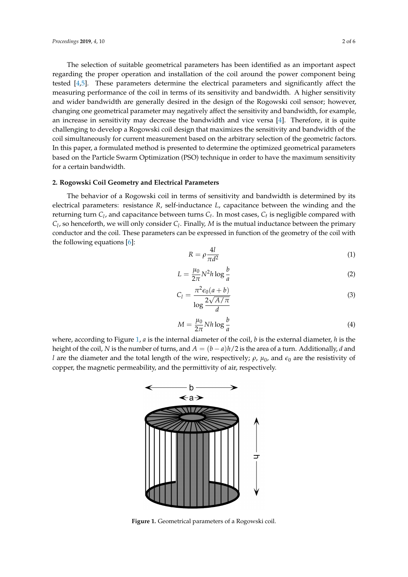The selection of suitable geometrical parameters has been identified as an important aspect regarding the proper operation and installation of the coil around the power component being tested [\[4](#page-6-3)[,5\]](#page-6-4). These parameters determine the electrical parameters and significantly affect the measuring performance of the coil in terms of its sensitivity and bandwidth. A higher sensitivity and wider bandwidth are generally desired in the design of the Rogowski coil sensor; however, changing one geometrical parameter may negatively affect the sensitivity and bandwidth, for example, an increase in sensitivity may decrease the bandwidth and vice versa [\[4\]](#page-6-3). Therefore, it is quite challenging to develop a Rogowski coil design that maximizes the sensitivity and bandwidth of the coil simultaneously for current measurement based on the arbitrary selection of the geometric factors. In this paper, a formulated method is presented to determine the optimized geometrical parameters based on the Particle Swarm Optimization (PSO) technique in order to have the maximum sensitivity for a certain bandwidth.

#### **2. Rogowski Coil Geometry and Electrical Parameters**

The behavior of a Rogowski coil in terms of sensitivity and bandwidth is determined by its electrical parameters: resistance *R*, self-inductance *L*, capacitance between the winding and the returning turn *C<sup>l</sup>* , and capacitance between turns *C<sup>t</sup>* . In most cases, *C<sup>t</sup>* is negligible compared with *Cl* , so henceforth, we will only consider *C<sup>l</sup>* . Finally, *M* is the mutual inductance between the primary conductor and the coil. These parameters can be expressed in function of the geometry of the coil with the following equations [\[6\]](#page-6-5):

$$
R = \rho \frac{4l}{\pi d^2} \tag{1}
$$

$$
L = \frac{\mu_0}{2\pi} N^2 h \log \frac{b}{a} \tag{2}
$$

$$
C_l = \frac{\pi^2 \epsilon_0 (a+b)}{\log \frac{2\sqrt{A/\pi}}{d}}
$$
\n(3)

$$
M = \frac{\mu_0}{2\pi} N h \log \frac{b}{a}
$$
 (4)

<span id="page-2-0"></span>where, according to Figure [1,](#page-2-0) *a* is the internal diameter of the coil, *b* is the external diameter, *h* is the height of the coil, *N* is the number of turns, and  $A = (b - a)h/2$  is the area of a turn. Additionally, *d* and *l* are the diameter and the total length of the wire, respectively;  $\rho$ ,  $\mu_0$ , and  $\epsilon_0$  are the resistivity of copper, the magnetic permeability, and the permittivity of air, respectively.



**Figure 1.** Geometrical parameters of a Rogowski coil.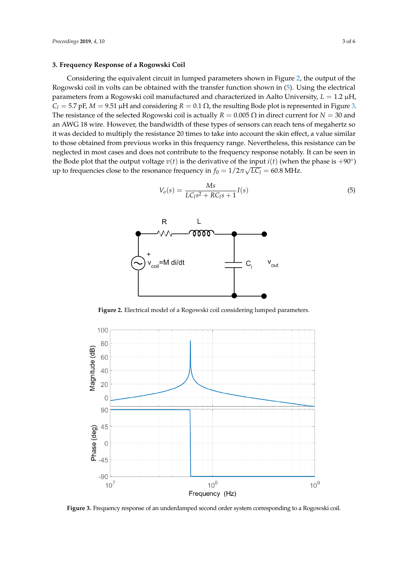#### **3. Frequency Response of a Rogowski Coil**

Considering the equivalent circuit in lumped parameters shown in Figure [2,](#page-3-0) the output of the Rogowski coil in volts can be obtained with the transfer function shown in [\(5\)](#page-3-1). Using the electrical parameters from a Rogowski coil manufactured and characterized in Aalto University,  $L = 1.2 \mu H$ , *C*<sub>*l*</sub> = 5.7 pF, *M* = 9.51 μH and considering *R* = 0.1 Ω, the resulting Bode plot is represented in Figure [3.](#page-3-2) The resistance of the selected Rogowski coil is actually  $R = 0.005 \Omega$  in direct current for  $N = 30$  and an AWG 18 wire. However, the bandwidth of these types of sensors can reach tens of megahertz so it was decided to multiply the resistance 20 times to take into account the skin effect, a value similar to those obtained from previous works in this frequency range. Nevertheless, this resistance can be neglected in most cases and does not contribute to the frequency response notably. It can be seen in the Bode plot that the output voltage  $v(t)$  is the derivative of the input  $i(t)$  (when the phase is +90°) up to frequencies close to the resonance frequency in  $f_0 = 1/2\pi\sqrt{LC_l} = 60.8 \text{ MHz.}$ 

<span id="page-3-1"></span>
$$
V_o(s) = \frac{Ms}{LC_l s^2 + RC_l s + 1} I(s)
$$
\n(5)

<span id="page-3-0"></span>

**Figure 2.** Electrical model of a Rogowski coil considering lumped parameters.

<span id="page-3-2"></span>

**Figure 3.** Frequency response of an underdamped second order system corresponding to a Rogowski coil.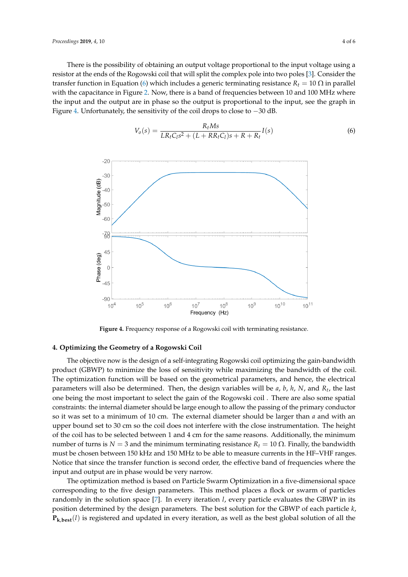There is the possibility of obtaining an output voltage proportional to the input voltage using a resistor at the ends of the Rogowski coil that will split the complex pole into two poles [\[3\]](#page-6-2). Consider the transfer function in Equation [\(6\)](#page-4-0) which includes a generic terminating resistance  $R_t = 10 \Omega$  in parallel with the capacitance in Figure [2.](#page-3-0) Now, there is a band of frequencies between 10 and 100 MHz where the input and the output are in phase so the output is proportional to the input, see the graph in Figure [4.](#page-4-1) Unfortunately, the sensitivity of the coil drops to close to −30 dB.

<span id="page-4-0"></span>
$$
V_o(s) = \frac{R_t M s}{LR_t C_l s^2 + (L + RR_t C_l)s + R + R_t} I(s)
$$
\n(6)

<span id="page-4-1"></span>

**Figure 4.** Frequency response of a Rogowski coil with terminating resistance.

#### **4. Optimizing the Geometry of a Rogowski Coil**

The objective now is the design of a self-integrating Rogowski coil optimizing the gain-bandwidth product (GBWP) to minimize the loss of sensitivity while maximizing the bandwidth of the coil. The optimization function will be based on the geometrical parameters, and hence, the electrical parameters will also be determined. Then, the design variables will be *a*, *b*, *h*, *N*, and *R<sup>t</sup>* , the last one being the most important to select the gain of the Rogowski coil . There are also some spatial constraints: the internal diameter should be large enough to allow the passing of the primary conductor so it was set to a minimum of 10 cm. The external diameter should be larger than *a* and with an upper bound set to 30 cm so the coil does not interfere with the close instrumentation. The height of the coil has to be selected between 1 and 4 cm for the same reasons. Additionally, the minimum number of turns is  $N = 3$  and the minimum terminating resistance  $R_t = 10 \Omega$ . Finally, the bandwidth must be chosen between 150 kHz and 150 MHz to be able to measure currents in the HF–VHF ranges. Notice that since the transfer function is second order, the effective band of frequencies where the input and output are in phase would be very narrow.

The optimization method is based on Particle Swarm Optimization in a five-dimensional space corresponding to the five design parameters. This method places a flock or swarm of particles randomly in the solution space [\[7\]](#page-6-6). In every iteration *l*, every particle evaluates the GBWP in its position determined by the design parameters. The best solution for the GBWP of each particle *k*,  $P_{\mathbf{k},\mathbf{best}}(l)$  is registered and updated in every iteration, as well as the best global solution of all the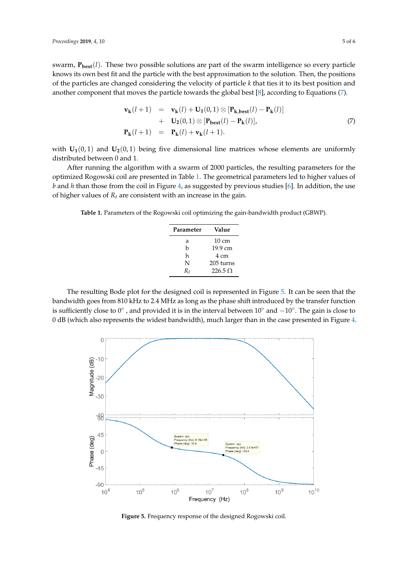swarm,  $\mathbf{P}_{\text{best}}(l)$ . These two possible solutions are part of the swarm intelligence so every particle knows its own best fit and the particle with the best approximation to the solution. Then, the positions of the particles are changed considering the velocity of particle *k* that ties it to its best position and another component that moves the particle towards the global best [\[8\]](#page-6-7), according to Equations [\(7\)](#page-5-0).

<span id="page-5-0"></span>
$$
\mathbf{v}_{\mathbf{k}}(l+1) = \mathbf{v}_{\mathbf{k}}(l) + \mathbf{U}_{1}(0,1) \otimes [\mathbf{P}_{\mathbf{k},\mathbf{best}}(l) - \mathbf{P}_{\mathbf{k}}(l)] \n+ \mathbf{U}_{2}(0,1) \otimes [\mathbf{P}_{\mathbf{best}}(l) - \mathbf{P}_{\mathbf{k}}(l)], \n\mathbf{P}_{\mathbf{k}}(l+1) = \mathbf{P}_{\mathbf{k}}(l) + \mathbf{v}_{\mathbf{k}}(l+1).
$$
\n(7)

with  $U_1(0, 1)$  and  $U_2(0, 1)$  being five dimensional line matrices whose elements are uniformly distributed between 0 and 1.

After running the algorithm with a swarm of 2000 particles, the resulting parameters for the optimized Rogowski coil are presented in Table [1.](#page-5-1) The geometrical parameters led to higher values of *b* and *h* than those from the coil in Figure [4,](#page-4-1) as suggested by previous studies [\[6\]](#page-6-5). In addition, the use of higher values of *R<sup>t</sup>* are consistent with an increase in the gain.

<span id="page-5-1"></span>**Table 1.** Parameters of the Rogowski coil optimizing the gain-bandwidth product (GBWP).

| Parameter | Value          |
|-----------|----------------|
| а         | 10 cm          |
| h         | 19.9 cm        |
| h         | 4 cm           |
| N         | 205 turns      |
| $R_{t}$   | $226.5 \Omega$ |

The resulting Bode plot for the designed coil is represented in Figure [5.](#page-5-2) It can be seen that the bandwidth goes from 810 kHz to 2.4 MHz as long as the phase shift introduced by the transfer function is sufficiently close to  $0^{\circ}$  , and provided it is in the interval between  $10^{\circ}$  and  $-10^{\circ}$ . The gain is close to 0 dB (which also represents the widest bandwidth), much larger than in the case presented in Figure [4.](#page-4-1)

<span id="page-5-2"></span>

**Figure 5.** Frequency response of the designed Rogowski coil.